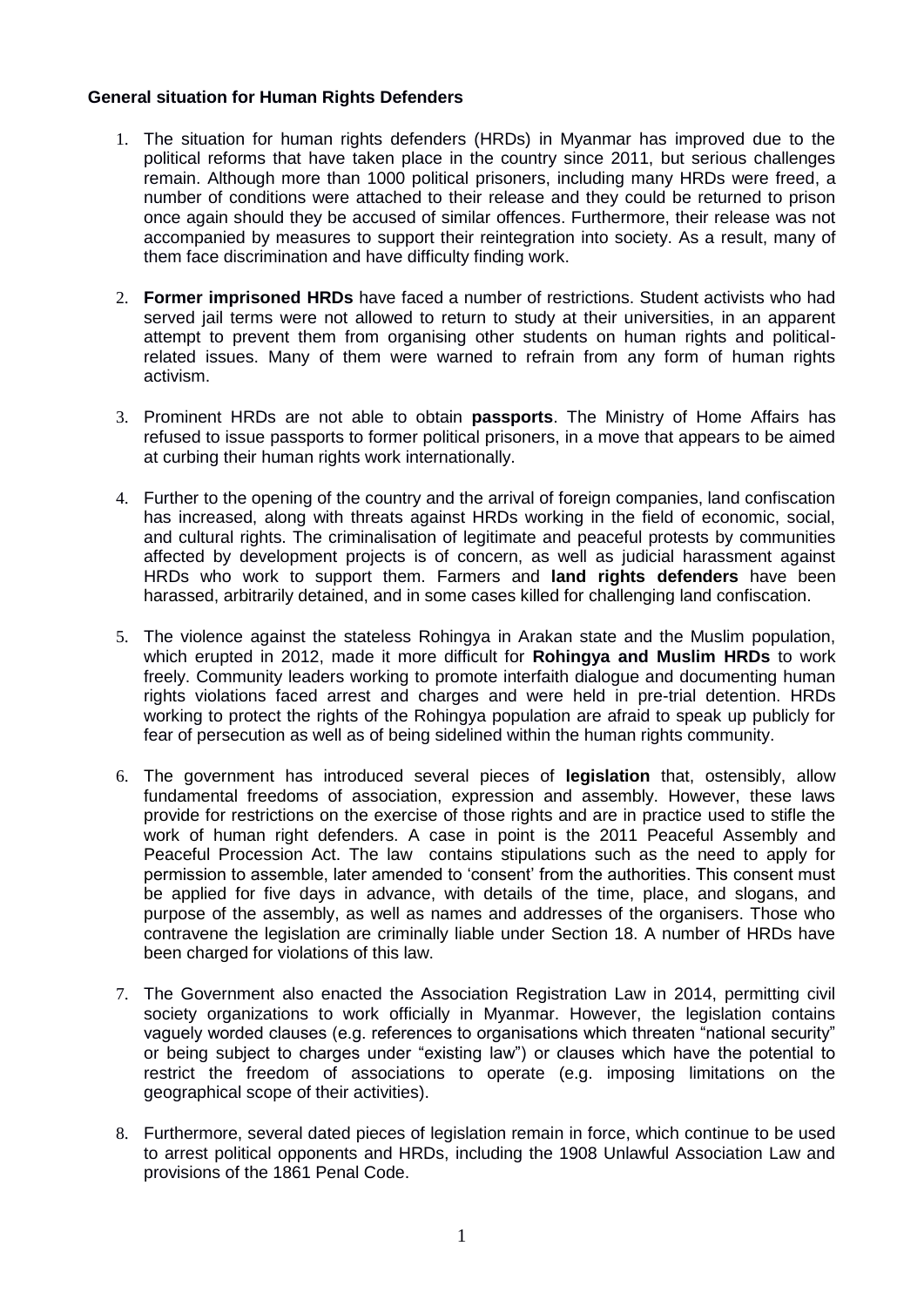# **General situation for Human Rights Defenders**

- 1. The situation for human rights defenders (HRDs) in Myanmar has improved due to the political reforms that have taken place in the country since 2011, but serious challenges remain. Although more than 1000 political prisoners, including many HRDs were freed, a number of conditions were attached to their release and they could be returned to prison once again should they be accused of similar offences. Furthermore, their release was not accompanied by measures to support their reintegration into society. As a result, many of them face discrimination and have difficulty finding work.
- 2. **Former imprisoned HRDs** have faced a number of restrictions. Student activists who had served jail terms were not allowed to return to study at their universities, in an apparent attempt to prevent them from organising other students on human rights and politicalrelated issues. Many of them were warned to refrain from any form of human rights activism.
- 3. Prominent HRDs are not able to obtain **passports**. The Ministry of Home Affairs has refused to issue passports to former political prisoners, in a move that appears to be aimed at curbing their human rights work internationally.
- 4. Further to the opening of the country and the arrival of foreign companies, land confiscation has increased, along with threats against HRDs working in the field of economic, social, and cultural rights. The criminalisation of legitimate and peaceful protests by communities affected by development projects is of concern, as well as judicial harassment against HRDs who work to support them. Farmers and **land rights defenders** have been harassed, arbitrarily detained, and in some cases killed for challenging land confiscation.
- 5. The violence against the stateless Rohingya in Arakan state and the Muslim population, which erupted in 2012, made it more difficult for **Rohingya and Muslim HRDs** to work freely. Community leaders working to promote interfaith dialogue and documenting human rights violations faced arrest and charges and were held in pre-trial detention. HRDs working to protect the rights of the Rohingya population are afraid to speak up publicly for fear of persecution as well as of being sidelined within the human rights community.
- 6. The government has introduced several pieces of **legislation** that, ostensibly, allow fundamental freedoms of association, expression and assembly. However, these laws provide for restrictions on the exercise of those rights and are in practice used to stifle the work of human right defenders. A case in point is the 2011 Peaceful Assembly and Peaceful Procession Act. The law contains stipulations such as the need to apply for permission to assemble, later amended to 'consent' from the authorities. This consent must be applied for five days in advance, with details of the time, place, and slogans, and purpose of the assembly, as well as names and addresses of the organisers. Those who contravene the legislation are criminally liable under Section 18. A number of HRDs have been charged for violations of this law.
- 7. The Government also enacted the Association Registration Law in 2014, permitting civil society organizations to work officially in Myanmar. However, the legislation contains vaguely worded clauses (e.g. references to organisations which threaten "national security" or being subject to charges under "existing law") or clauses which have the potential to restrict the freedom of associations to operate (e.g. imposing limitations on the geographical scope of their activities).
- 8. Furthermore, several dated pieces of legislation remain in force, which continue to be used to arrest political opponents and HRDs, including the 1908 Unlawful Association Law and provisions of the 1861 Penal Code.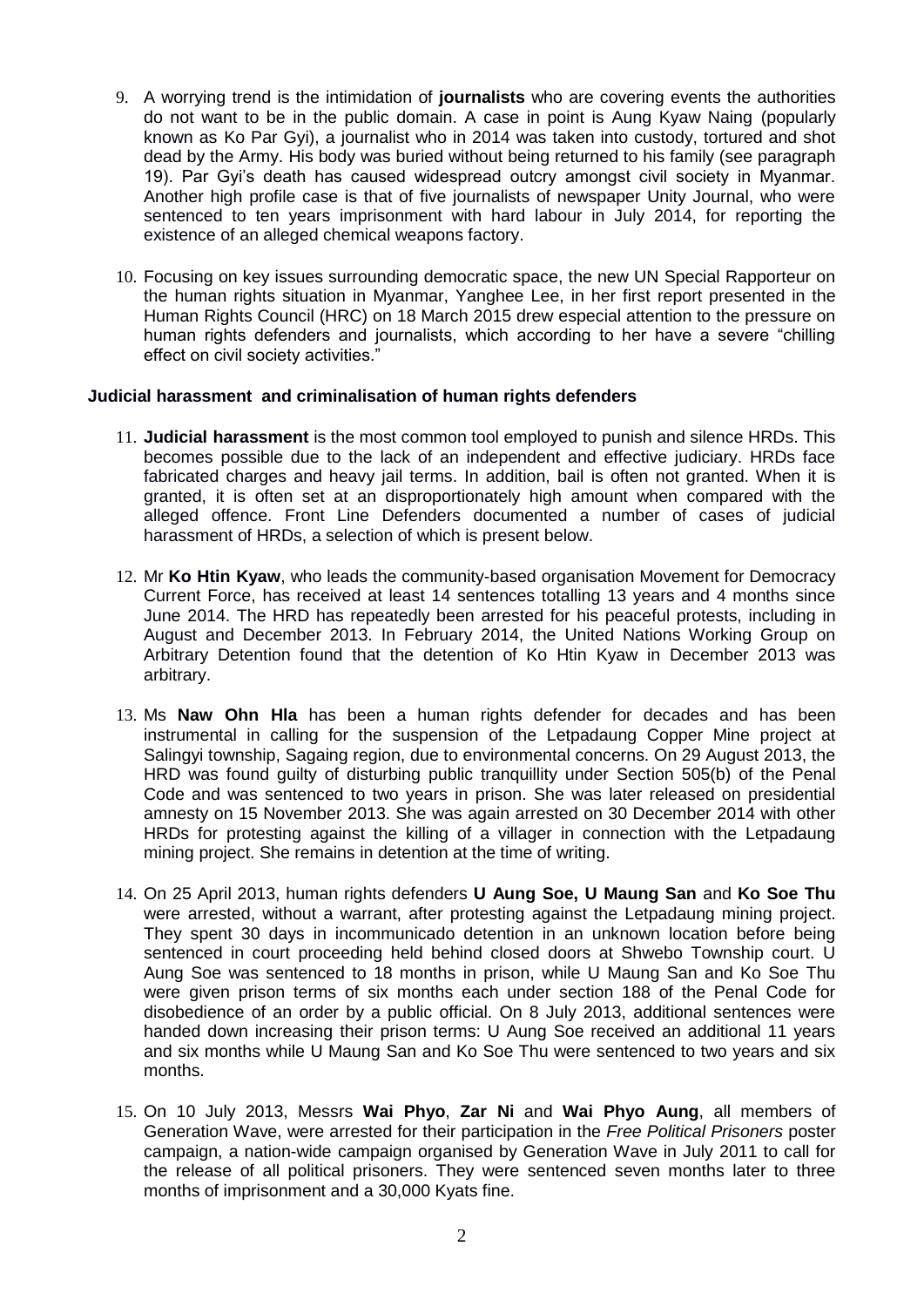- 9. A worrying trend is the intimidation of **journalists** who are covering events the authorities do not want to be in the public domain. A case in point is Aung Kyaw Naing (popularly known as Ko Par Gyi), a journalist who in 2014 was taken into custody, tortured and shot dead by the Army. His body was buried without being returned to his family (see paragraph 19). Par Gyi's death has caused widespread outcry amongst civil society in Myanmar. Another high profile case is that of five journalists of newspaper Unity Journal, who were sentenced to ten years imprisonment with hard labour in July 2014, for reporting the existence of an alleged chemical weapons factory.
- 10. Focusing on key issues surrounding democratic space, the new UN Special Rapporteur on the human rights situation in Myanmar, Yanghee Lee, in her first report presented in the Human Rights Council (HRC) on 18 March 2015 drew especial attention to the pressure on human rights defenders and journalists, which according to her have a severe "chilling effect on civil society activities."

## **Judicial harassment and criminalisation of human rights defenders**

- 11. **Judicial harassment** is the most common tool employed to punish and silence HRDs. This becomes possible due to the lack of an independent and effective judiciary. HRDs face fabricated charges and heavy jail terms. In addition, bail is often not granted. When it is granted, it is often set at an disproportionately high amount when compared with the alleged offence. Front Line Defenders documented a number of cases of judicial harassment of HRDs, a selection of which is present below.
- 12. Mr **Ko Htin Kyaw**, who leads the community-based organisation Movement for Democracy Current Force, has received at least 14 sentences totalling 13 years and 4 months since June 2014. The HRD has repeatedly been arrested for his peaceful protests, including in August and December 2013. In February 2014, the United Nations Working Group on Arbitrary Detention found that the detention of Ko Htin Kyaw in December 2013 was arbitrary.
- 13. Ms **Naw Ohn Hla** has been a human rights defender for decades and has been instrumental in calling for the suspension of the Letpadaung Copper Mine project at Salingyi township, Sagaing region, due to environmental concerns. On 29 August 2013, the HRD was found guilty of disturbing public tranquillity under Section 505(b) of the Penal Code and was sentenced to two years in prison. She was later released on presidential amnesty on 15 November 2013. She was again arrested on 30 December 2014 with other HRDs for protesting against the killing of a villager in connection with the Letpadaung mining project. She remains in detention at the time of writing.
- 14. On 25 April 2013, human rights defenders **U Aung Soe, U Maung San** and **Ko Soe Thu** were arrested, without a warrant, after protesting against the Letpadaung mining project. They spent 30 days in incommunicado detention in an unknown location before being sentenced in court proceeding held behind closed doors at Shwebo Township court. U Aung Soe was sentenced to 18 months in prison, while U Maung San and Ko Soe Thu were given prison terms of six months each under section 188 of the Penal Code for disobedience of an order by a public official. On 8 July 2013, additional sentences were handed down increasing their prison terms: U Aung Soe received an additional 11 years and six months while U Maung San and Ko Soe Thu were sentenced to two years and six months.
- 15. On 10 July 2013, Messrs **Wai Phyo**, **Zar Ni** and **Wai Phyo Aung**, all members of Generation Wave, were arrested for their participation in the *Free Political Prisoners* poster campaign, a nation-wide campaign organised by Generation Wave in July 2011 to call for the release of all political prisoners. They were sentenced seven months later to three months of imprisonment and a 30,000 Kyats fine.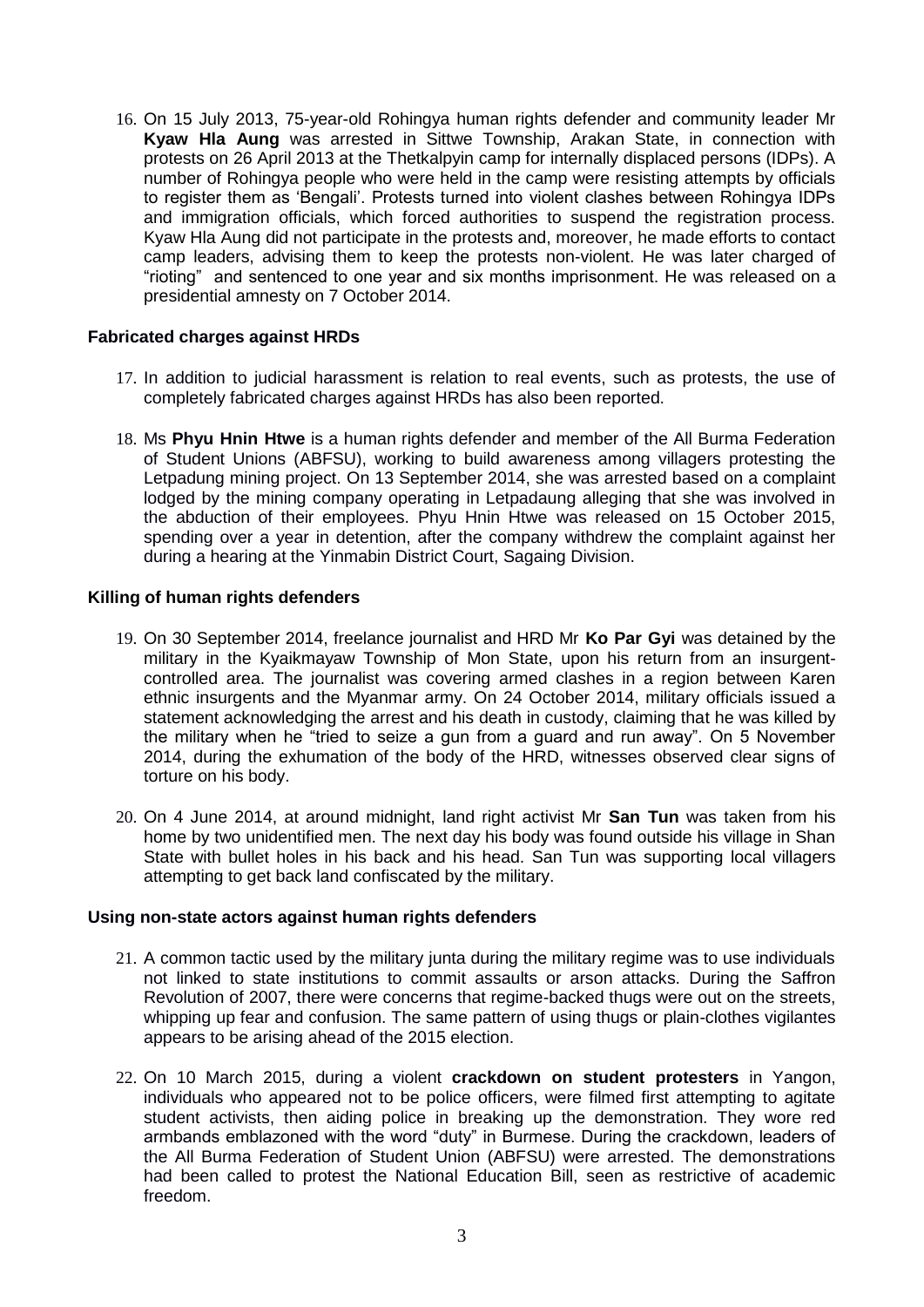16. On 15 July 2013, 75-year-old Rohingya human rights defender and community leader Mr **Kyaw Hla Aung** was arrested in Sittwe Township, Arakan State, in connection with protests on 26 April 2013 at the Thetkalpyin camp for internally displaced persons (IDPs). A number of Rohingya people who were held in the camp were resisting attempts by officials to register them as 'Bengali'. Protests turned into violent clashes between Rohingya IDPs and immigration officials, which forced authorities to suspend the registration process. Kyaw Hla Aung did not participate in the protests and, moreover, he made efforts to contact camp leaders, advising them to keep the protests non-violent. He was later charged of "rioting" and sentenced to one year and six months imprisonment. He was released on a presidential amnesty on 7 October 2014.

## **Fabricated charges against HRDs**

- 17. In addition to judicial harassment is relation to real events, such as protests, the use of completely fabricated charges against HRDs has also been reported.
- 18. Ms **Phyu Hnin Htwe** is a human rights defender and member of the All Burma Federation of Student Unions (ABFSU), working to build awareness among villagers protesting the Letpadung mining project. On 13 September 2014, she was arrested based on a complaint lodged by the mining company operating in Letpadaung alleging that she was involved in the abduction of their employees. Phyu Hnin Htwe was released on 15 October 2015, spending over a year in detention, after the company withdrew the complaint against her during a hearing at the Yinmabin District Court, Sagaing Division.

## **Killing of human rights defenders**

- 19. On 30 September 2014, freelance journalist and HRD Mr **Ko Par Gyi** was detained by the military in the Kyaikmayaw Township of Mon State, upon his return from an insurgentcontrolled area. The journalist was covering armed clashes in a region between Karen ethnic insurgents and the Myanmar army. On 24 October 2014, military officials issued a statement acknowledging the arrest and his death in custody, claiming that he was killed by the military when he "tried to seize a gun from a guard and run away". On 5 November 2014, during the exhumation of the body of the HRD, witnesses observed clear signs of torture on his body.
- 20. On 4 June 2014, at around midnight, land right activist Mr **San Tun** was taken from his home by two unidentified men. The next day his body was found outside his village in Shan State with bullet holes in his back and his head. San Tun was supporting local villagers attempting to get back land confiscated by the military.

#### **Using non-state actors against human rights defenders**

- 21. A common tactic used by the military junta during the military regime was to use individuals not linked to state institutions to commit assaults or arson attacks. During the Saffron Revolution of 2007, there were concerns that regime-backed thugs were out on the streets, whipping up fear and confusion. The same pattern of using thugs or plain-clothes vigilantes appears to be arising ahead of the 2015 election.
- 22. On 10 March 2015, during a violent **crackdown on student protesters** in Yangon, individuals who appeared not to be police officers, were filmed first attempting to agitate student activists, then aiding police in breaking up the demonstration. They wore red armbands emblazoned with the word "duty" in Burmese. During the crackdown, leaders of the All Burma Federation of Student Union (ABFSU) were arrested. The demonstrations had been called to protest the National Education Bill, seen as restrictive of academic freedom.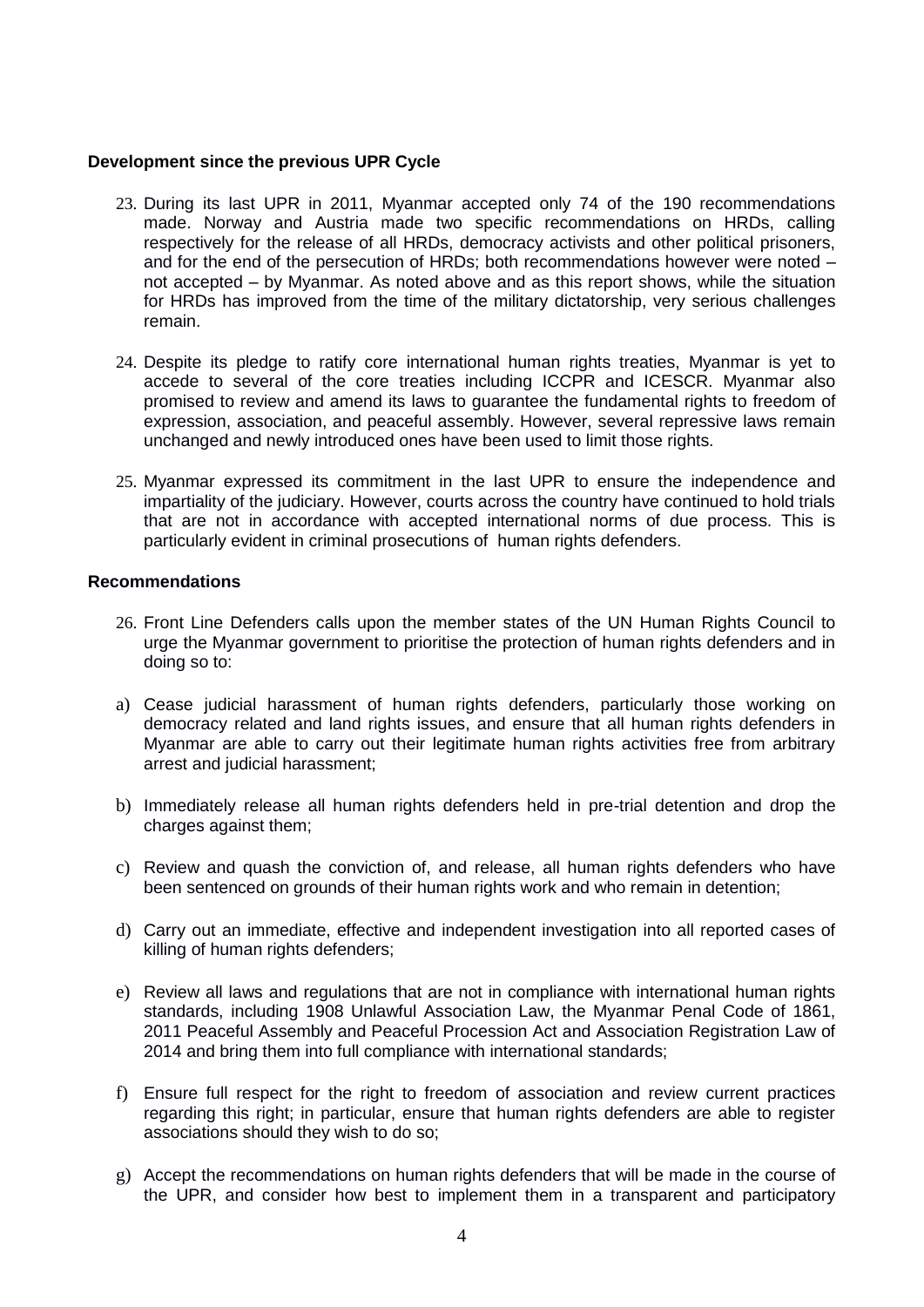## **Development since the previous UPR Cycle**

- 23. During its last UPR in 2011, Myanmar accepted only 74 of the 190 recommendations made. Norway and Austria made two specific recommendations on HRDs, calling respectively for the release of all HRDs, democracy activists and other political prisoners, and for the end of the persecution of HRDs; both recommendations however were noted – not accepted – by Myanmar. As noted above and as this report shows, while the situation for HRDs has improved from the time of the military dictatorship, very serious challenges remain.
- 24. Despite its pledge to ratify core international human rights treaties, Myanmar is yet to accede to several of the core treaties including ICCPR and ICESCR. Myanmar also promised to review and amend its laws to guarantee the fundamental rights to freedom of expression, association, and peaceful assembly. However, several repressive laws remain unchanged and newly introduced ones have been used to limit those rights.
- 25. Myanmar expressed its commitment in the last UPR to ensure the independence and impartiality of the judiciary. However, courts across the country have continued to hold trials that are not in accordance with accepted international norms of due process. This is particularly evident in criminal prosecutions of human rights defenders.

## **Recommendations**

- 26. Front Line Defenders calls upon the member states of the UN Human Rights Council to urge the Myanmar government to prioritise the protection of human rights defenders and in doing so to:
- a) Cease judicial harassment of human rights defenders, particularly those working on democracy related and land rights issues, and ensure that all human rights defenders in Myanmar are able to carry out their legitimate human rights activities free from arbitrary arrest and judicial harassment;
- b) Immediately release all human rights defenders held in pre-trial detention and drop the charges against them;
- c) Review and quash the conviction of, and release, all human rights defenders who have been sentenced on grounds of their human rights work and who remain in detention;
- d) Carry out an immediate, effective and independent investigation into all reported cases of killing of human rights defenders;
- e) Review all laws and regulations that are not in compliance with international human rights standards, including 1908 Unlawful Association Law, the Myanmar Penal Code of 1861, 2011 Peaceful Assembly and Peaceful Procession Act and Association Registration Law of 2014 and bring them into full compliance with international standards;
- f) Ensure full respect for the right to freedom of association and review current practices regarding this right; in particular, ensure that human rights defenders are able to register associations should they wish to do so;
- g) Accept the recommendations on human rights defenders that will be made in the course of the UPR, and consider how best to implement them in a transparent and participatory